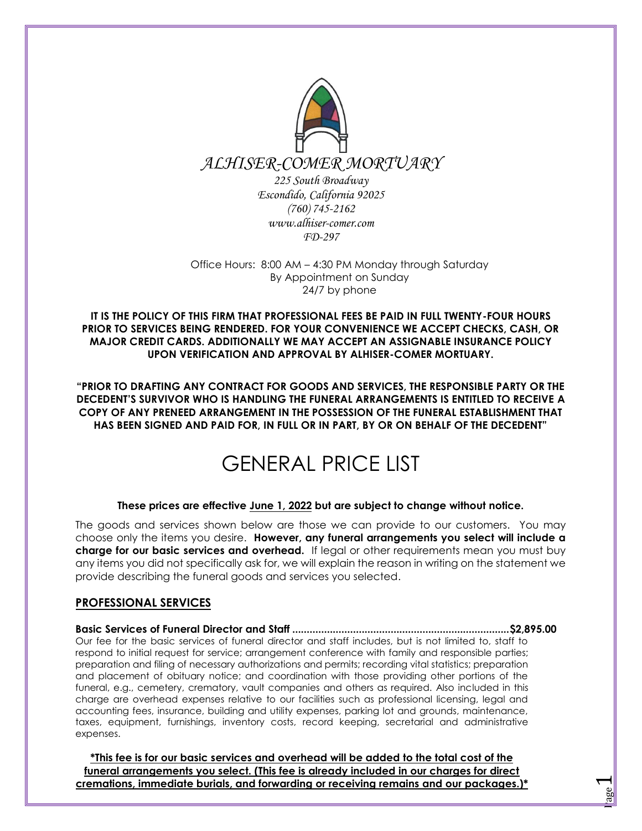

*FD-297*

Office Hours: 8:00 AM – 4:30 PM Monday through Saturday By Appointment on Sunday 24/7 by phone

**IT IS THE POLICY OF THIS FIRM THAT PROFESSIONAL FEES BE PAID IN FULL TWENTY-FOUR HOURS PRIOR TO SERVICES BEING RENDERED. FOR YOUR CONVENIENCE WE ACCEPT CHECKS, CASH, OR MAJOR CREDIT CARDS. ADDITIONALLY WE MAY ACCEPT AN ASSIGNABLE INSURANCE POLICY UPON VERIFICATION AND APPROVAL BY ALHISER-COMER MORTUARY.** 

**"PRIOR TO DRAFTING ANY CONTRACT FOR GOODS AND SERVICES, THE RESPONSIBLE PARTY OR THE DECEDENT'S SURVIVOR WHO IS HANDLING THE FUNERAL ARRANGEMENTS IS ENTITLED TO RECEIVE A COPY OF ANY PRENEED ARRANGEMENT IN THE POSSESSION OF THE FUNERAL ESTABLISHMENT THAT HAS BEEN SIGNED AND PAID FOR, IN FULL OR IN PART, BY OR ON BEHALF OF THE DECEDENT"**

# GENERAL PRICE LIST

## **These prices are effective June 1, 2022 but are subject to change without notice.**

The goods and services shown below are those we can provide to our customers. You may choose only the items you desire. **However, any funeral arrangements you select will include a charge for our basic services and overhead.** If legal or other requirements mean you must buy any items you did not specifically ask for, we will explain the reason in writing on the statement we provide describing the funeral goods and services you selected.

## **PROFESSIONAL SERVICES**

**Basic Services of Funeral Director and Staff ........................................................................... \$2,895.00**  Our fee for the basic services of funeral director and staff includes, but is not limited to, staff to respond to initial request for service; arrangement conference with family and responsible parties; preparation and filing of necessary authorizations and permits; recording vital statistics; preparation and placement of obituary notice; and coordination with those providing other portions of the funeral, e.g., cemetery, crematory, vault companies and others as required. Also included in this charge are overhead expenses relative to our facilities such as professional licensing, legal and accounting fees, insurance, building and utility expenses, parking lot and grounds, maintenance, taxes, equipment, furnishings, inventory costs, record keeping, secretarial and administrative expenses.

**\*This fee is for our basic services and overhead will be added to the total cost of the funeral arrangements you select. (This fee is already included in our charges for direct cremations, immediate burials, and forwarding or receiving remains and our packages.)\*** 

<u>Page</u>  $\blacktriangleleft$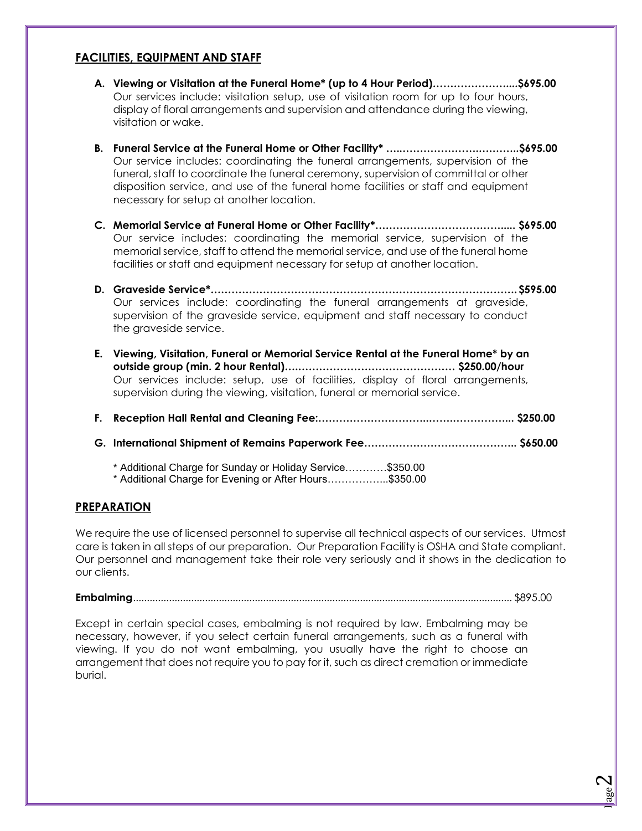## **FACILITIES, EQUIPMENT AND STAFF**

- **A. Viewing or Visitation at the Funeral Home\* (up to 4 Hour Period)…………………....\$695.00**  Our services include: visitation setup, use of visitation room for up to four hours, display of floral arrangements and supervision and attendance during the viewing, visitation or wake.
- **B. Funeral Service at the Funeral Home or Other Facility\* …..………………….….……..\$695.00**  Our service includes: coordinating the funeral arrangements, supervision of the funeral, staff to coordinate the funeral ceremony, supervision of committal or other disposition service, and use of the funeral home facilities or staff and equipment necessary for setup at another location.
- **C. Memorial Service at Funeral Home or Other Facility\*………………………………..... \$695.00**  Our service includes: coordinating the memorial service, supervision of the memorial service, staff to attend the memorial service, and use of the funeral home facilities or staff and equipment necessary for setup at another location.
- **D. Graveside Service\*…………………………………………………………………………….\$595.00**  Our services include: coordinating the funeral arrangements at graveside, supervision of the graveside service, equipment and staff necessary to conduct the graveside service.
- **E. Viewing, Visitation, Funeral or Memorial Service Rental at the Funeral Home\* by an outside group (min. 2 hour Rental)….……………………………………… \$250.00/hour** Our services include: setup, use of facilities, display of floral arrangements, supervision during the viewing, visitation, funeral or memorial service.
- **F. Reception Hall Rental and Cleaning Fee:…………………………..…….……………... \$250.00**
- **G. International Shipment of Remains Paperwork Fee…………………………………….. \$650.00** 
	- \* Additional Charge for Sunday or Holiday Service…………\$350.00
	- \* Additional Charge for Evening or After Hours……………...\$350.00

## **PREPARATION**

We require the use of licensed personnel to supervise all technical aspects of our services. Utmost care is taken in all steps of our preparation. Our Preparation Facility is OSHA and State compliant. Our personnel and management take their role very seriously and it shows in the dedication to our clients.

**Embalming**......................................................................................................................................... \$895.00

Except in certain special cases, embalming is not required by law. Embalming may be necessary, however, if you select certain funeral arrangements, such as a funeral with viewing. If you do not want embalming, you usually have the right to choose an arrangement that does not require you to pay for it, such as direct cremation or immediate burial.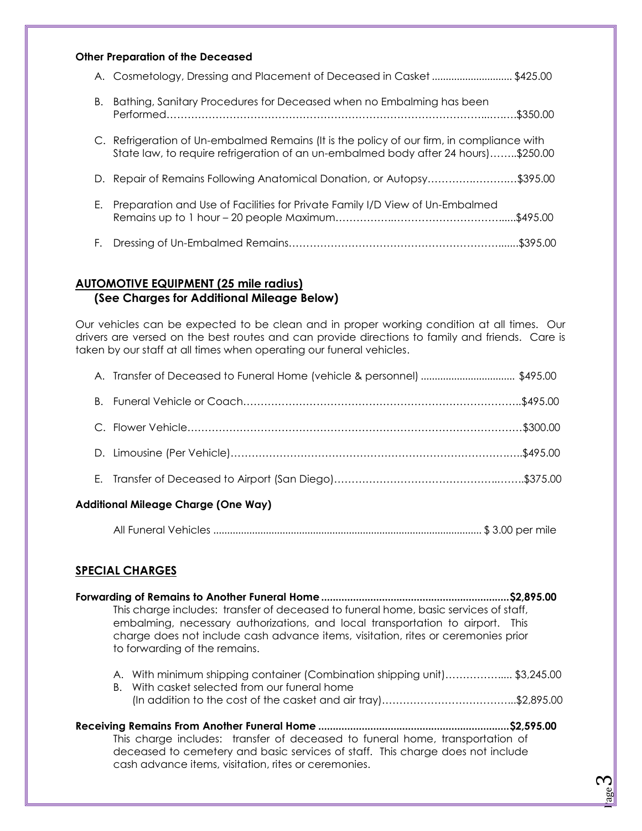### **Other Preparation of the Deceased**

|    | A. Cosmetology, Dressing and Placement of Deceased in Casket \$425.00                                                                                                           |  |
|----|---------------------------------------------------------------------------------------------------------------------------------------------------------------------------------|--|
| В. | Bathing, Sanitary Procedures for Deceased when no Embalming has been                                                                                                            |  |
|    | C. Refrigeration of Un-embalmed Remains (It is the policy of our firm, in compliance with<br>State law, to require refrigeration of an un-embalmed body after 24 hours)\$250.00 |  |
|    | D. Repair of Remains Following Anatomical Donation, or Autopsy\$395.00                                                                                                          |  |
| Е. | Preparation and Use of Facilities for Private Family I/D View of Un-Embalmed                                                                                                    |  |
| F. |                                                                                                                                                                                 |  |

## **AUTOMOTIVE EQUIPMENT (25 mile radius) (See Charges for Additional Mileage Below)**

Our vehicles can be expected to be clean and in proper working condition at all times. Our drivers are versed on the best routes and can provide directions to family and friends. Care is taken by our staff at all times when operating our funeral vehicles.

|  | A. Transfer of Deceased to Funeral Home (vehicle & personnel) \$495.00 |  |
|--|------------------------------------------------------------------------|--|
|  |                                                                        |  |
|  |                                                                        |  |
|  |                                                                        |  |
|  |                                                                        |  |
|  |                                                                        |  |

### **Additional Mileage Charge (One Way)**

|--|--|

## **SPECIAL CHARGES**

| Forwarding of Remains to Another Funeral Home ……………………………………………………………………………………………                                                                                                                    |  |
|------------------------------------------------------------------------------------------------------------------------------------------------------------------------------------------------------|--|
| This charge includes: transfer of deceased to funeral home, basic services of staff,                                                                                                                 |  |
| embalming, necessary authorizations, and local transportation to airport. This<br>charge does not include cash advance items, visitation, rites or ceremonies prior<br>to forwarding of the remains. |  |
|                                                                                                                                                                                                      |  |

- A. With minimum shipping container (Combination shipping unit)……………..... \$3,245.00
- B. With casket selected from our funeral home (In addition to the cost of the casket and air tray)………………………………...\$2,895.00
- **Receiving Remains From Another Funeral Home .................................................................. \$2,595.00**  This charge includes: transfer of deceased to funeral home, transportation of deceased to cemetery and basic services of staff. This charge does not include cash advance items, visitation, rites or ceremonies.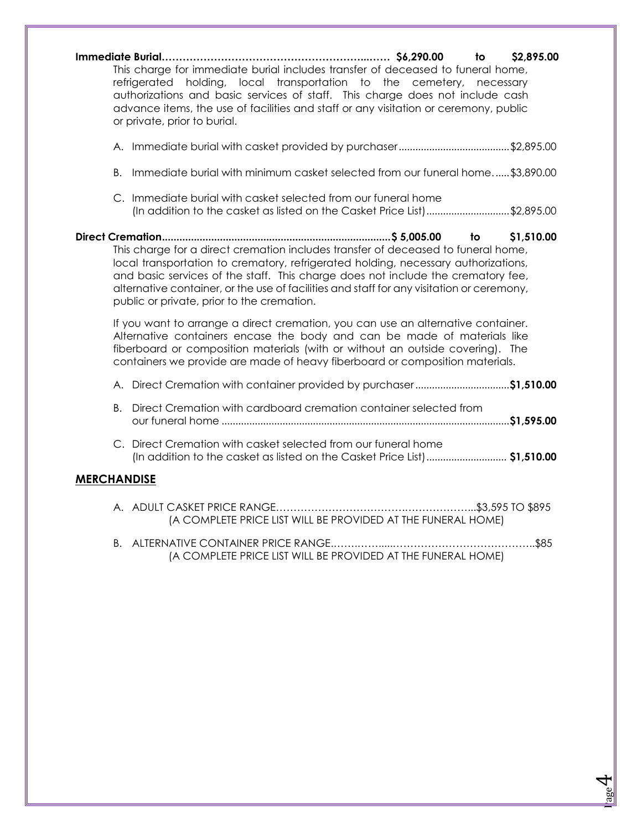| This charge for immediate burial includes transfer of deceased to funeral home,<br>refrigerated holding, local transportation to the cemetery, necessary<br>authorizations and basic services of staff. This charge does not include cash<br>advance items, the use of facilities and staff or any visitation or ceremony, public<br>or private, prior to burial.                                               | to \$2,895.00 |
|-----------------------------------------------------------------------------------------------------------------------------------------------------------------------------------------------------------------------------------------------------------------------------------------------------------------------------------------------------------------------------------------------------------------|---------------|
|                                                                                                                                                                                                                                                                                                                                                                                                                 |               |
| В.<br>Immediate burial with minimum casket selected from our funeral home\$3,890.00                                                                                                                                                                                                                                                                                                                             |               |
| C. Immediate burial with casket selected from our funeral home<br>(In addition to the casket as listed on the Casket Price List)\$2,895.00                                                                                                                                                                                                                                                                      |               |
| to to<br>This charge for a direct cremation includes transfer of deceased to funeral home,<br>local transportation to crematory, refrigerated holding, necessary authorizations,<br>and basic services of the staff. This charge does not include the crematory fee,<br>alternative container, or the use of facilities and staff for any visitation or ceremony,<br>public or private, prior to the cremation. | \$1,510.00    |
| If you want to arrange a direct cremation, you can use an alternative container.<br>Alternative containers encase the body and can be made of materials like<br>fiberboard or composition materials (with or without an outside covering). The<br>containers we provide are made of heavy fiberboard or composition materials.                                                                                  |               |
| A. Direct Cremation with container provided by purchaser\$1,510.00                                                                                                                                                                                                                                                                                                                                              |               |
| B. Direct Cremation with cardboard cremation container selected from                                                                                                                                                                                                                                                                                                                                            |               |
| C. Direct Cremation with casket selected from our funeral home<br>(In addition to the casket as listed on the Casket Price List) \$1,510.00                                                                                                                                                                                                                                                                     |               |
| <b>MERCHANDISE</b>                                                                                                                                                                                                                                                                                                                                                                                              |               |
| (A COMPLETE PRICE LIST WILL BE PROVIDED AT THE FUNERAL HOME)                                                                                                                                                                                                                                                                                                                                                    |               |
| R ALTERNATIVE CONTAINER PRICE RANGE                                                                                                                                                                                                                                                                                                                                                                             | \$ጸ5          |

B. ALTERNATIVE CONTAINER PRICE RANGE.…….…….....…………………………………..\$85 (A COMPLETE PRICE LIST WILL BE PROVIDED AT THE FUNERAL HOME)

> <u>Page</u> 4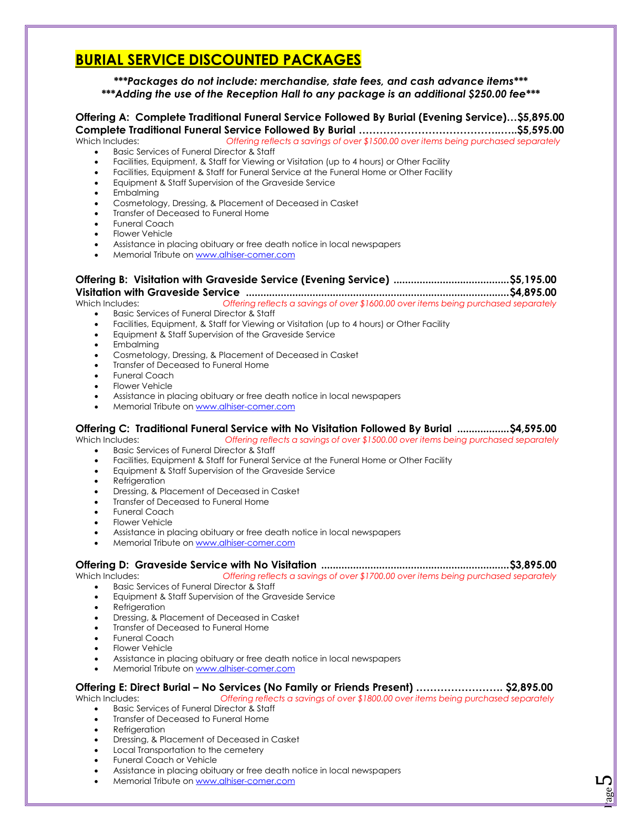## **BURIAL SERVICE DISCOUNTED PACKAGES**

### *\*\*\*Packages do not include: merchandise, state fees, and cash advance items\*\*\* \*\*\*Adding the use of the Reception Hall to any package is an additional \$250.00 fee\*\*\**

#### **Offering A: Complete Traditional Funeral Service Followed By Burial (Evening Service)…\$5,895.00 Complete Traditional Funeral Service Followed By Burial …………………………………..…..\$5,595.00**  Which Includes: *Offering reflects a savings of over \$1500.00 over items being purchased separately*

Basic Services of Funeral Director & Staff

- Facilities, Equipment, & Staff for Viewing or Visitation (up to 4 hours) or Other Facility
- Facilities, Equipment & Staff for Funeral Service at the Funeral Home or Other Facility
- Equipment & Staff Supervision of the Graveside Service
- Embalming
- Cosmetology, Dressing, & Placement of Deceased in Casket
- Transfer of Deceased to Funeral Home
- Funeral Coach
- **•** Flower Vehicle
- Assistance in placing obituary or free death notice in local newspapers
- Memorial Tribute on [www.alhiser-comer.com](http://www.alhiser-comer.com/)

## **Offering B: Visitation with Graveside Service (Evening Service) ........................................ \$5,195.00 Visitation with Graveside Service ........................................................................................... \$4,895.00**

Which Includes: *Offering reflects a savings of over \$1600.00 over items being purchased separately* 

- **Basic Services of Funeral Director & Staff**
- Facilities, Equipment, & Staff for Viewing or Visitation (up to 4 hours) or Other Facility
- Equipment & Staff Supervision of the Graveside Service
- Embalmina
- Cosmetology, Dressing, & Placement of Deceased in Casket
- Transfer of Deceased to Funeral Home
- Funeral Coach
- Flower Vehicle
- Assistance in placing obituary or free death notice in local newspapers
- Memorial Tribute on [www.alhiser-comer.com](http://www.alhiser-comer.com/)

### **Offering C: Traditional Funeral Service with No Visitation Followed By Burial .................. \$4,595.00**

Which Includes: *Offering reflects a savings of over \$1500.00 over items being purchased separately* 

- Basic Services of Funeral Director & Staff
- Facilities, Equipment & Staff for Funeral Service at the Funeral Home or Other Facility
- Equipment & Staff Supervision of the Graveside Service
- Refrigeration
- Dressing, & Placement of Deceased in Casket
- Transfer of Deceased to Funeral Home
- Funeral Coach
- Flower Vehicle
- Assistance in placing obituary or free death notice in local newspapers
- Memorial Tribute on [www.alhiser-comer.com](http://www.alhiser-comer.com/)

## **Offering D: Graveside Service with No Visitation ................................................................. \$3,895.00**

Which Includes: *Offering reflects a savings of over \$1700.00 over items being purchased separately*

- **Basic Services of Funeral Director & Staff**
- Equipment & Staff Supervision of the Graveside Service
- Refrigeration
- Dressing, & Placement of Deceased in Casket
- Transfer of Deceased to Funeral Home
- Funeral Coach
- Flower Vehicle
- Assistance in placing obituary or free death notice in local newspapers
- Memorial Tribute on [www.alhiser-comer.com](http://www.alhiser-comer.com/)

#### **Offering E: Direct Burial – No Services (No Family or Friends Present) ……………………. \$2,895.00**  Which Includes: *Offering reflects a savings of over \$1800.00 over items being purchased separately*

- **Basic Services of Funeral Director & Staff**
- Transfer of Deceased to Funeral Home
- Refrigeration
- Dressing, & Placement of Deceased in Casket
- Local Transportation to the cemetery
- Funeral Coach or Vehicle
- Assistance in placing obituary or free death notice in local newspapers
- Memorial Tribute on [www.alhiser-comer.com](http://www.alhiser-comer.com/)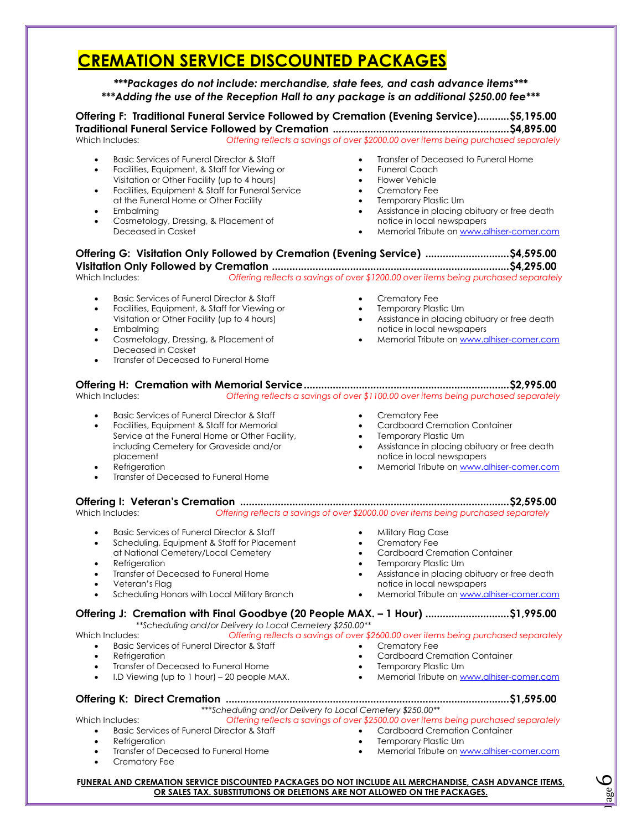## **CREMATION SERVICE DISCOUNTED PACKAGES**

*\*\*\*Packages do not include: merchandise, state fees, and cash advance items\*\*\* \*\*\*Adding the use of the Reception Hall to any package is an additional \$250.00 fee\*\*\**

**Offering F: Traditional Funeral Service Followed by Cremation (Evening Service) ........... \$5,195.00 Traditional Funeral Service Followed by Cremation ............................................................. \$4,895.00**  Offering reflects a savings of over \$2000.00 over items being purchased separately

- Basic Services of Funeral Director & Staff
- Facilities, Equipment, & Staff for Viewing or Visitation or Other Facility (up to 4 hours)
- Facilities, Equipment & Staff for Funeral Service at the Funeral Home or Other Facility
- Embalming
- Cosmetology, Dressing, & Placement of Deceased in Casket
- Transfer of Deceased to Funeral Home
- Funeral Coach
- Flower Vehicle
- Crematory Fee
	- Temporary Plastic Urn
	- Assistance in placing obituary or free death notice in local newspapers
	- Memorial Tribute on [www.alhiser-comer.com](http://www.alhiser-comer.com/)

<u>Page</u> 6

**Offering G: Visitation Only Followed by Cremation (Evening Service) ............................. \$4,595.00 Visitation Only Followed by Cremation .................................................................................. \$4,295.00**  Which Includes: *Offering reflects a savings of over \$1200.00 over items being purchased separately*  Basic Services of Funeral Director & Staff Facilities, Equipment, & Staff for Viewing or<br>Misterlies, Equipment, & Staff for Viewing or Visitation or Other Facility (up to 4 hours) Embalming **Cosmetology, Dressing, & Placement of** Deceased in Casket Transfer of Deceased to Funeral Home Crematory Fee • Temporary Plastic Urn Assistance in placing obituary or free death notice in local newspapers Memorial Tribute on [www.alhiser-comer.com](http://www.alhiser-comer.com/) **Offering H: Cremation with Memorial Service ....................................................................... \$2,995.00**  Which Includes: *Offering reflects a savings of over \$1100.00 over items being purchased separately* Basic Services of Funeral Director & Staff Facilities, Equipment & Staff for Memorial Facilities, Equipment & Staff for Memorial<br>Service at the Funeral Home or Other Facility, including Cemetery for Graveside and/or placement **Refrigeration**  Transfer of Deceased to Funeral Home Crematory Fee Cardboard Cremation Container - Carapolard Cremation<br>• Temporary Plastic Urn • Assistance in placing obituary or free death notice in local newspapers • Memorial Tribute on [www.alhiser-comer.com](http://www.alhiser-comer.com/) **Offering I: Veteran's Cremation ............................................................................................. \$2,595.00**  Which Includes: *Offering reflects a savings of over \$2000.00 over items being purchased separately* **Basic Services of Funeral Director & Staff**  Scheduling, Equipment & Staff for Placement at National Cemetery/Local Cemetery • Refrigeration Transfer of Deceased to Funeral Home Veteran's Flag Scheduling Honors with Local Military Branch • Military Flag Case Crematory Fee Cardboard Cremation Container **•** Temporary Plastic Urn Assistance in placing obituary or free death notice in local newspapers Memorial Tribute on [www.alhiser-comer.com](http://www.alhiser-comer.com/) **Offering J: Cremation with Final Goodbye (20 People MAX. – 1 Hour) .............................\$1,995.00**   *\*\*Scheduling and/or Delivery to Local Cemetery \$250.00\*\**  Offering reflects a savings of over \$2600.00 over items being purchased separately Basic Services of Funeral Director & Staff Refrigeration Transfer of Deceased to Funeral Home I.D Viewing (up to 1 hour) – 20 people MAX. Crematory Fee Cardboard Cremation Container Temporary Plastic Urn **•** Memorial Tribute on [www.alhiser-comer.com](http://www.alhiser-comer.com/) **Offering K: Direct Cremation .................................................................................................. \$1,595.00**  *\*\*\*Scheduling and/or Delivery to Local Cemetery \$250.00\*\**  Which Includes: *Offering reflects a savings of over \$2500.00 over items being purchased separately* **•** Basic Services of Funeral Director & Staff • Refrigeration • Transfer of Deceased to Funeral Home Crematory Fee Cardboard Cremation Container • Temporary Plastic Urn • Memorial Tribute on [www.alhiser-comer.com](http://www.alhiser-comer.com/) **FUNERAL AND CREMATION SERVICE DISCOUNTED PACKAGES DO NOT INCLUDE ALL MERCHANDISE, CASH ADVANCE ITEMS, OR SALES TAX. SUBSTITUTIONS OR DELETIONS ARE NOT ALLOWED ON THE PACKAGES.**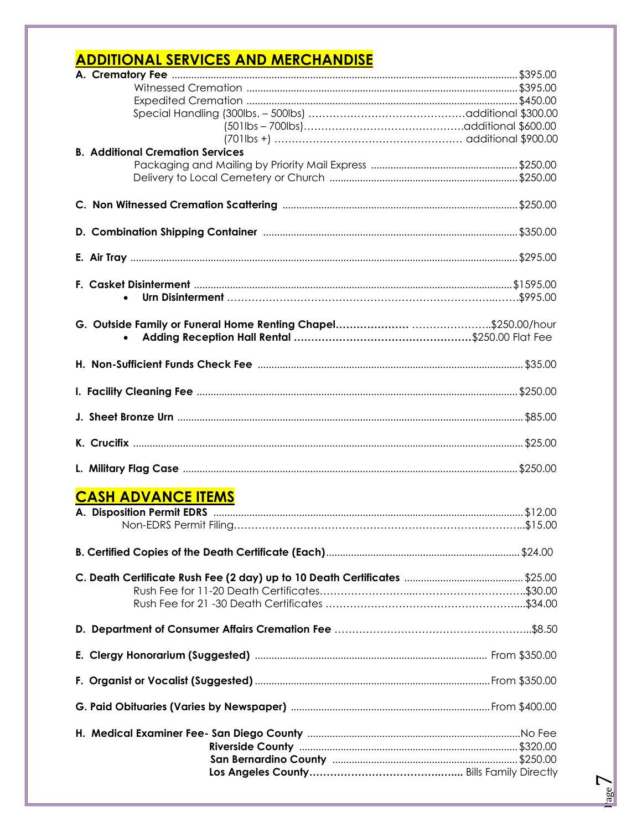# **ADDITIONAL SERVICES AND MERCHANDISE**

| <b>B. Additional Cremation Services</b> |  |
|-----------------------------------------|--|
|                                         |  |
|                                         |  |
|                                         |  |
|                                         |  |
|                                         |  |
|                                         |  |
|                                         |  |
|                                         |  |
|                                         |  |
|                                         |  |
|                                         |  |
|                                         |  |
|                                         |  |
|                                         |  |
|                                         |  |
|                                         |  |
|                                         |  |
|                                         |  |
|                                         |  |
|                                         |  |
| <b>CASH ADVANCE ITEMS</b>               |  |
|                                         |  |
|                                         |  |
|                                         |  |
|                                         |  |
|                                         |  |
|                                         |  |
|                                         |  |
|                                         |  |
|                                         |  |
|                                         |  |
|                                         |  |
|                                         |  |
|                                         |  |
|                                         |  |
|                                         |  |
|                                         |  |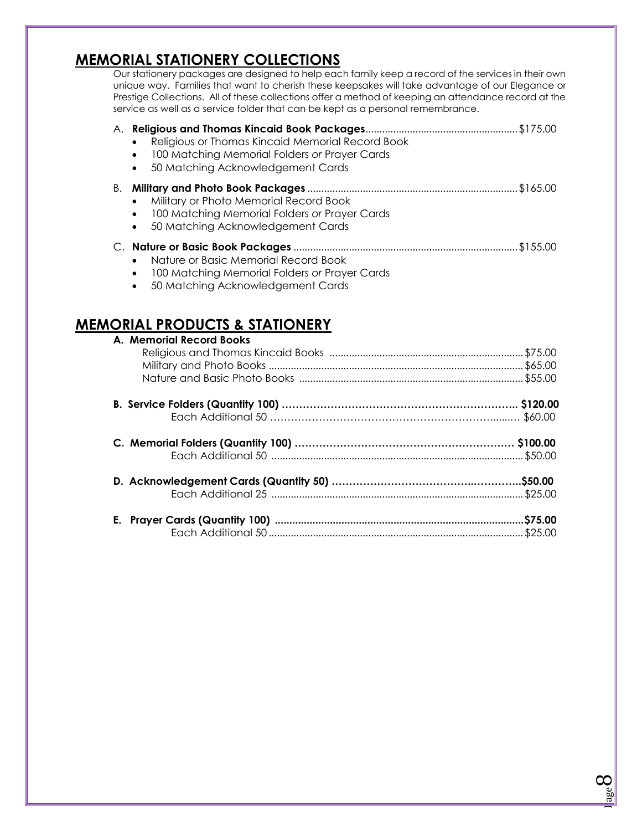## **MEMORIAL STATIONERY COLLECTIONS**

Our stationery packages are designed to help each family keep a record of the services in their own unique way. Families that want to cherish these keepsakes will take advantage of our Elegance or Prestige Collections. All of these collections offer a method of keeping an attendance record at the service as well as a service folder that can be kept as a personal remembrance.

| A. | Religious or Thomas Kincaid Memorial Record Book<br>100 Matching Memorial Folders or Prayer Cards<br>٠<br>50 Matching Acknowledgement Cards<br>٠ |  |
|----|--------------------------------------------------------------------------------------------------------------------------------------------------|--|
| В. | Military or Photo Memorial Record Book<br>100 Matching Memorial Folders or Prayer Cards<br>٠<br>50 Matching Acknowledgement Cards<br>$\bullet$   |  |
|    | Nature or Basic Memorial Record Book<br>100 Matching Memorial Folders or Prayer Cards                                                            |  |

50 Matching Acknowledgement Cards

## **MEMORIAL PRODUCTS & STATIONERY**

| A. Memorial Record Books |  |
|--------------------------|--|
|                          |  |
|                          |  |
|                          |  |
|                          |  |
|                          |  |
|                          |  |
|                          |  |
|                          |  |
|                          |  |
|                          |  |
|                          |  |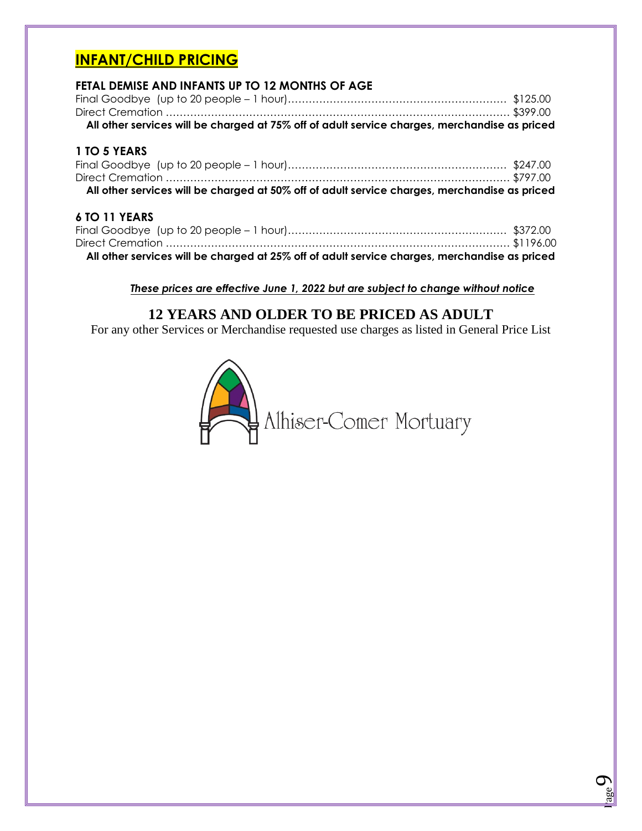## **INFANT/CHILD PRICING**

## **FETAL DEMISE AND INFANTS UP TO 12 MONTHS OF AGE**

| All other services will be charged at 75% off of adult service charges, merchandise as priced |  |
|-----------------------------------------------------------------------------------------------|--|
|                                                                                               |  |
|                                                                                               |  |

## **1 TO 5 YEARS**

| All other services will be charged at 50% off of adult service charges, merchandise as priced |  |
|-----------------------------------------------------------------------------------------------|--|

## **6 TO 11 YEARS**

| All other services will be charged at 25% off of adult service charges, merchandise as priced |  |
|-----------------------------------------------------------------------------------------------|--|
|                                                                                               |  |
|                                                                                               |  |
|                                                                                               |  |

## *These prices are effective June 1, 2022 but are subject to change without notice*

## **12 YEARS AND OLDER TO BE PRICED AS ADULT**

For any other Services or Merchandise requested use charges as listed in General Price List